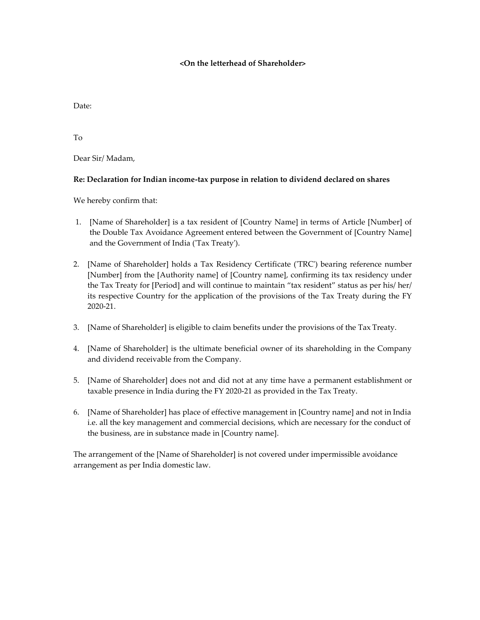## **<On the letterhead of Shareholder>**

Date:

To

Dear Sir/ Madam,

## **Re: Declaration for Indian income-tax purpose in relation to dividend declared on shares**

We hereby confirm that:

- 1. [Name of Shareholder] is a tax resident of [Country Name] in terms of Article [Number] of the Double Tax Avoidance Agreement entered between the Government of [Country Name] and the Government of India ('Tax Treaty').
- 2. [Name of Shareholder] holds a Tax Residency Certificate ('TRC') bearing reference number [Number] from the [Authority name] of [Country name], confirming its tax residency under the Tax Treaty for [Period] and will continue to maintain "tax resident" status as per his/ her/ its respective Country for the application of the provisions of the Tax Treaty during the FY 2020-21.
- 3. [Name of Shareholder] is eligible to claim benefits under the provisions of the Tax Treaty.
- 4. [Name of Shareholder] is the ultimate beneficial owner of its shareholding in the Company and dividend receivable from the Company.
- 5. [Name of Shareholder] does not and did not at any time have a permanent establishment or taxable presence in India during the FY 2020-21 as provided in the Tax Treaty.
- 6. [Name of Shareholder] has place of effective management in [Country name] and not in India i.e. all the key management and commercial decisions, which are necessary for the conduct of the business, are in substance made in [Country name].

The arrangement of the [Name of Shareholder] is not covered under impermissible avoidance arrangement as per India domestic law.